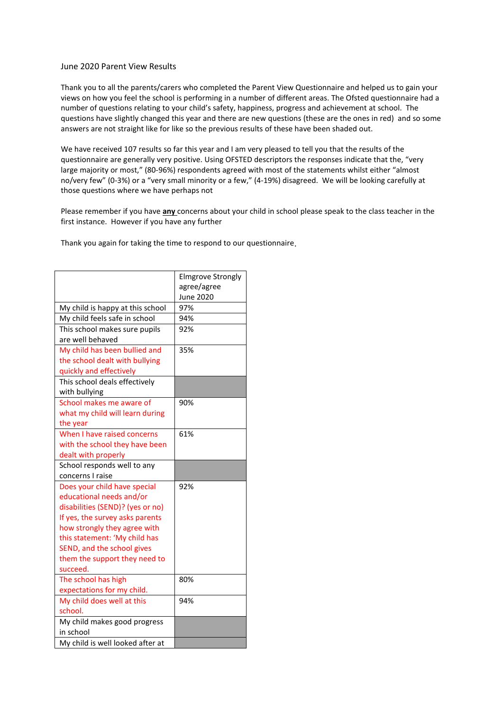## June 2020 Parent View Results

Thank you to all the parents/carers who completed the Parent View Questionnaire and helped us to gain your views on how you feel the school is performing in a number of different areas. The Ofsted questionnaire had a number of questions relating to your child's safety, happiness, progress and achievement at school. The questions have slightly changed this year and there are new questions (these are the ones in red) and so some answers are not straight like for like so the previous results of these have been shaded out.

We have received 107 results so far this year and I am very pleased to tell you that the results of the questionnaire are generally very positive. Using OFSTED descriptors the responses indicate that the, "very large majority or most," (80-96%) respondents agreed with most of the statements whilst either "almost no/very few" (0-3%) or a "very small minority or a few," (4-19%) disagreed. We will be looking carefully at those questions where we have perhaps not

Please remember if you have **any** concerns about your child in school please speak to the class teacher in the first instance. However if you have any further

Thank you again for taking the time to respond to our questionnaire.

|                                  | <b>Elmgrove Strongly</b> |
|----------------------------------|--------------------------|
|                                  | agree/agree              |
|                                  | June 2020                |
| My child is happy at this school | 97%                      |
| My child feels safe in school    | 94%                      |
| This school makes sure pupils    | 92%                      |
| are well behaved                 |                          |
| My child has been bullied and    | 35%                      |
| the school dealt with bullying   |                          |
| quickly and effectively          |                          |
| This school deals effectively    |                          |
| with bullying                    |                          |
| School makes me aware of         | 90%                      |
| what my child will learn during  |                          |
| the year                         |                          |
| When I have raised concerns      | 61%                      |
| with the school they have been   |                          |
| dealt with properly              |                          |
| School responds well to any      |                          |
| concerns I raise                 |                          |
| Does your child have special     | 92%                      |
| educational needs and/or         |                          |
| disabilities (SEND)? (yes or no) |                          |
| If yes, the survey asks parents  |                          |
| how strongly they agree with     |                          |
| this statement: 'My child has    |                          |
| SEND, and the school gives       |                          |
| them the support they need to    |                          |
| succeed.                         |                          |
| The school has high              | 80%                      |
| expectations for my child.       |                          |
| My child does well at this       | 94%                      |
| school.                          |                          |
| My child makes good progress     |                          |
| in school                        |                          |
| My child is well looked after at |                          |